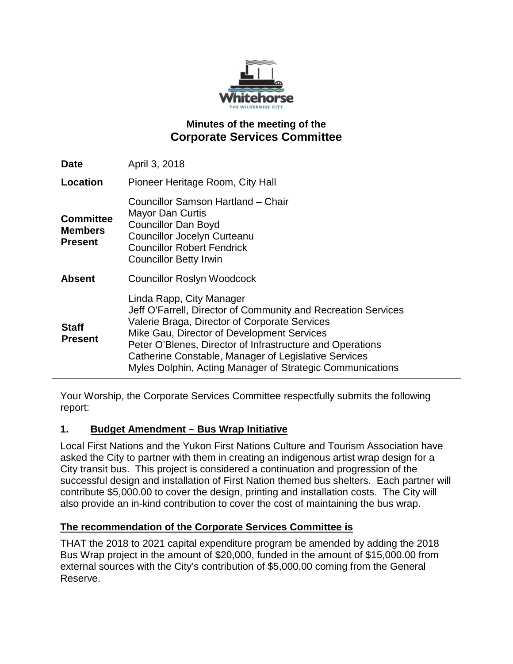

## **Minutes of the meeting of the Corporate Services Committee**

| <b>Date</b>                                          | April 3, 2018                                                                                                                                                                                                                                                                                                                                                              |
|------------------------------------------------------|----------------------------------------------------------------------------------------------------------------------------------------------------------------------------------------------------------------------------------------------------------------------------------------------------------------------------------------------------------------------------|
| Location                                             | Pioneer Heritage Room, City Hall                                                                                                                                                                                                                                                                                                                                           |
| <b>Committee</b><br><b>Members</b><br><b>Present</b> | Councillor Samson Hartland - Chair<br>Mayor Dan Curtis<br><b>Councillor Dan Boyd</b><br>Councillor Jocelyn Curteanu<br><b>Councillor Robert Fendrick</b><br><b>Councillor Betty Irwin</b>                                                                                                                                                                                  |
| <b>Absent</b>                                        | <b>Councillor Roslyn Woodcock</b>                                                                                                                                                                                                                                                                                                                                          |
| <b>Staff</b><br><b>Present</b>                       | Linda Rapp, City Manager<br>Jeff O'Farrell, Director of Community and Recreation Services<br>Valerie Braga, Director of Corporate Services<br>Mike Gau, Director of Development Services<br>Peter O'Blenes, Director of Infrastructure and Operations<br>Catherine Constable, Manager of Legislative Services<br>Myles Dolphin, Acting Manager of Strategic Communications |

Your Worship, the Corporate Services Committee respectfully submits the following report:

### **1. Budget Amendment – Bus Wrap Initiative**

Local First Nations and the Yukon First Nations Culture and Tourism Association have asked the City to partner with them in creating an indigenous artist wrap design for a City transit bus. This project is considered a continuation and progression of the successful design and installation of First Nation themed bus shelters. Each partner will contribute \$5,000.00 to cover the design, printing and installation costs. The City will also provide an in-kind contribution to cover the cost of maintaining the bus wrap.

## **The recommendation of the Corporate Services Committee is**

THAT the 2018 to 2021 capital expenditure program be amended by adding the 2018 Bus Wrap project in the amount of \$20,000, funded in the amount of \$15,000.00 from external sources with the City's contribution of \$5,000.00 coming from the General Reserve.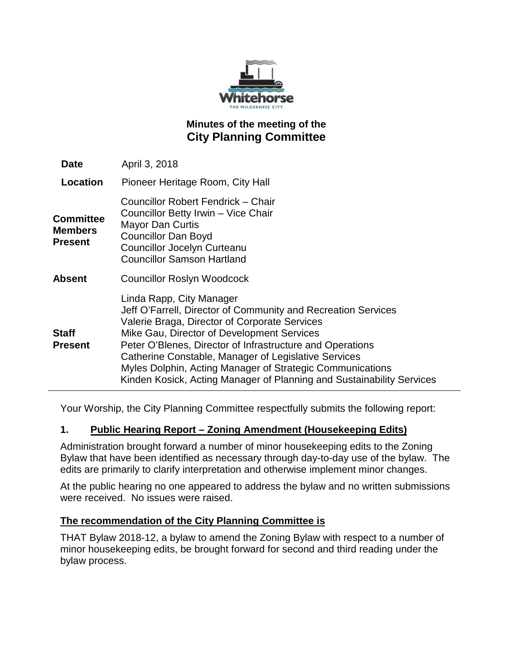

## **Minutes of the meeting of the City Planning Committee**

| <b>Date</b>                            | April 3, 2018                                                                                                                                                                                                                                                                                                                                                                                                                                       |
|----------------------------------------|-----------------------------------------------------------------------------------------------------------------------------------------------------------------------------------------------------------------------------------------------------------------------------------------------------------------------------------------------------------------------------------------------------------------------------------------------------|
| Location                               | Pioneer Heritage Room, City Hall                                                                                                                                                                                                                                                                                                                                                                                                                    |
| <b>Committee</b><br>Members<br>Present | Councillor Robert Fendrick - Chair<br>Councillor Betty Irwin - Vice Chair<br><b>Mayor Dan Curtis</b><br><b>Councillor Dan Boyd</b><br>Councillor Jocelyn Curteanu<br><b>Councillor Samson Hartland</b>                                                                                                                                                                                                                                              |
| Absent                                 | Councillor Roslyn Woodcock                                                                                                                                                                                                                                                                                                                                                                                                                          |
| Staff<br>Present                       | Linda Rapp, City Manager<br>Jeff O'Farrell, Director of Community and Recreation Services<br>Valerie Braga, Director of Corporate Services<br>Mike Gau, Director of Development Services<br>Peter O'Blenes, Director of Infrastructure and Operations<br>Catherine Constable, Manager of Legislative Services<br>Myles Dolphin, Acting Manager of Strategic Communications<br>Kinden Kosick, Acting Manager of Planning and Sustainability Services |

Your Worship, the City Planning Committee respectfully submits the following report:

#### **1. Public Hearing Report – Zoning Amendment (Housekeeping Edits)**

Administration brought forward a number of minor housekeeping edits to the Zoning Bylaw that have been identified as necessary through day-to-day use of the bylaw. The edits are primarily to clarify interpretation and otherwise implement minor changes.

At the public hearing no one appeared to address the bylaw and no written submissions were received. No issues were raised.

#### **The recommendation of the City Planning Committee is**

THAT Bylaw 2018-12, a bylaw to amend the Zoning Bylaw with respect to a number of minor housekeeping edits, be brought forward for second and third reading under the bylaw process.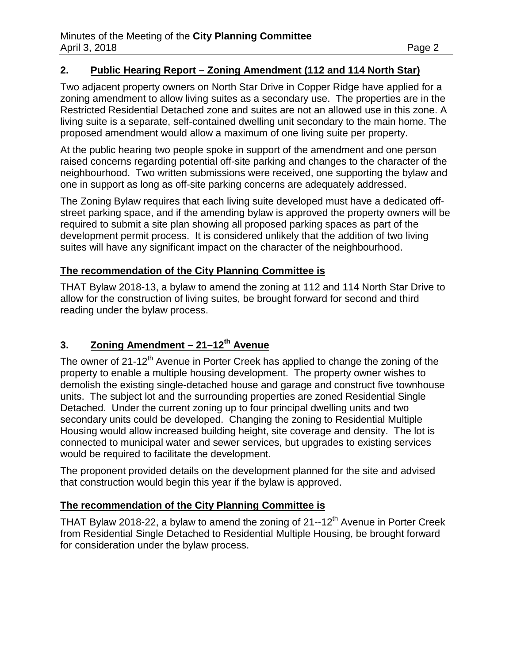### **2. Public Hearing Report – Zoning Amendment (112 and 114 North Star)**

Two adjacent property owners on North Star Drive in Copper Ridge have applied for a zoning amendment to allow living suites as a secondary use. The properties are in the Restricted Residential Detached zone and suites are not an allowed use in this zone. A living suite is a separate, self-contained dwelling unit secondary to the main home. The proposed amendment would allow a maximum of one living suite per property.

At the public hearing two people spoke in support of the amendment and one person raised concerns regarding potential off-site parking and changes to the character of the neighbourhood. Two written submissions were received, one supporting the bylaw and one in support as long as off-site parking concerns are adequately addressed.

The Zoning Bylaw requires that each living suite developed must have a dedicated offstreet parking space, and if the amending bylaw is approved the property owners will be required to submit a site plan showing all proposed parking spaces as part of the development permit process. It is considered unlikely that the addition of two living suites will have any significant impact on the character of the neighbourhood.

#### **The recommendation of the City Planning Committee is**

THAT Bylaw 2018-13, a bylaw to amend the zoning at 112 and 114 North Star Drive to allow for the construction of living suites, be brought forward for second and third reading under the bylaw process.

# **3. Zoning Amendment – 21–12th Avenue**

The owner of 21-12<sup>th</sup> Avenue in Porter Creek has applied to change the zoning of the property to enable a multiple housing development. The property owner wishes to demolish the existing single-detached house and garage and construct five townhouse units. The subject lot and the surrounding properties are zoned Residential Single Detached. Under the current zoning up to four principal dwelling units and two secondary units could be developed. Changing the zoning to Residential Multiple Housing would allow increased building height, site coverage and density. The lot is connected to municipal water and sewer services, but upgrades to existing services would be required to facilitate the development.

The proponent provided details on the development planned for the site and advised that construction would begin this year if the bylaw is approved.

### **The recommendation of the City Planning Committee is**

THAT Bylaw 2018-22, a bylaw to amend the zoning of  $21$ --12<sup>th</sup> Avenue in Porter Creek from Residential Single Detached to Residential Multiple Housing, be brought forward for consideration under the bylaw process.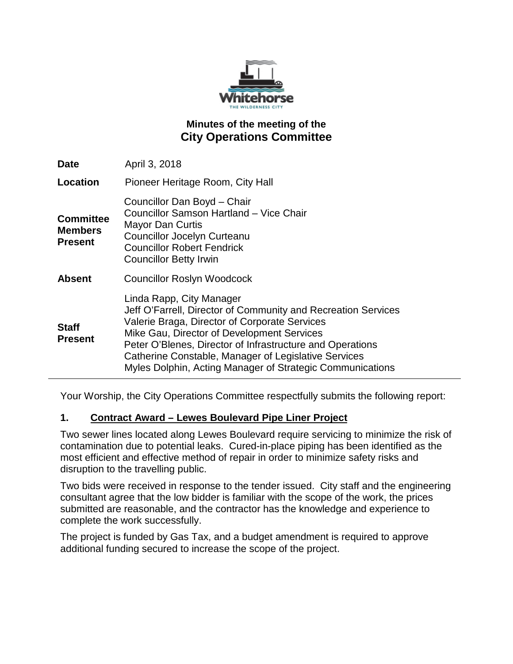

## **Minutes of the meeting of the City Operations Committee**

| <b>Date</b>                                          | April 3, 2018                                                                                                                                                                                                                                                                                                                                                              |
|------------------------------------------------------|----------------------------------------------------------------------------------------------------------------------------------------------------------------------------------------------------------------------------------------------------------------------------------------------------------------------------------------------------------------------------|
| <b>Location</b>                                      | Pioneer Heritage Room, City Hall                                                                                                                                                                                                                                                                                                                                           |
| <b>Committee</b><br><b>Members</b><br><b>Present</b> | Councillor Dan Boyd - Chair<br>Councillor Samson Hartland - Vice Chair<br>Mayor Dan Curtis<br>Councillor Jocelyn Curteanu<br><b>Councillor Robert Fendrick</b><br><b>Councillor Betty Irwin</b>                                                                                                                                                                            |
| <b>Absent</b>                                        | <b>Councillor Roslyn Woodcock</b>                                                                                                                                                                                                                                                                                                                                          |
| <b>Staff</b><br><b>Present</b>                       | Linda Rapp, City Manager<br>Jeff O'Farrell, Director of Community and Recreation Services<br>Valerie Braga, Director of Corporate Services<br>Mike Gau, Director of Development Services<br>Peter O'Blenes, Director of Infrastructure and Operations<br>Catherine Constable, Manager of Legislative Services<br>Myles Dolphin, Acting Manager of Strategic Communications |

Your Worship, the City Operations Committee respectfully submits the following report:

### **1. Contract Award – Lewes Boulevard Pipe Liner Project**

Two sewer lines located along Lewes Boulevard require servicing to minimize the risk of contamination due to potential leaks. Cured-in-place piping has been identified as the most efficient and effective method of repair in order to minimize safety risks and disruption to the travelling public.

Two bids were received in response to the tender issued. City staff and the engineering consultant agree that the low bidder is familiar with the scope of the work, the prices submitted are reasonable, and the contractor has the knowledge and experience to complete the work successfully.

The project is funded by Gas Tax, and a budget amendment is required to approve additional funding secured to increase the scope of the project.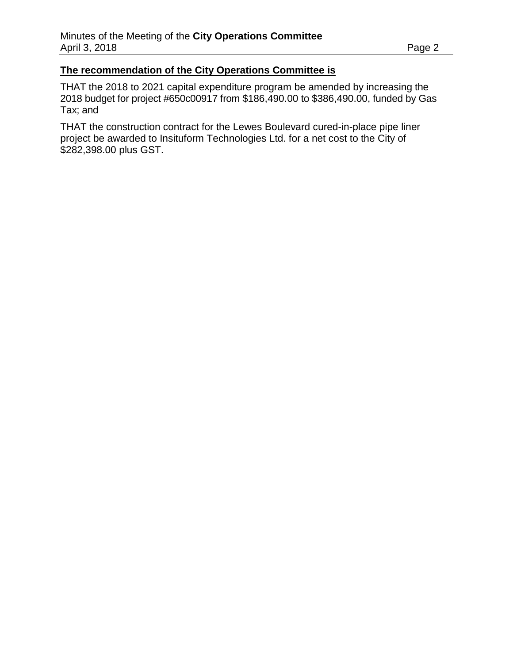#### **The recommendation of the City Operations Committee is**

THAT the 2018 to 2021 capital expenditure program be amended by increasing the 2018 budget for project #650c00917 from \$186,490.00 to \$386,490.00, funded by Gas Tax; and

THAT the construction contract for the Lewes Boulevard cured-in-place pipe liner project be awarded to Insituform Technologies Ltd. for a net cost to the City of \$282,398.00 plus GST.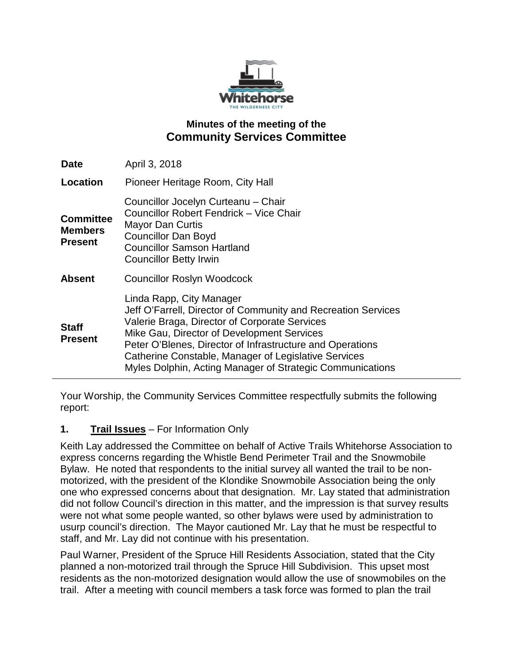

## **Minutes of the meeting of the Community Services Committee**

| <b>Date</b>                                          | April 3, 2018                                                                                                                                                                                                                                                                                                                                                              |
|------------------------------------------------------|----------------------------------------------------------------------------------------------------------------------------------------------------------------------------------------------------------------------------------------------------------------------------------------------------------------------------------------------------------------------------|
| Location                                             | Pioneer Heritage Room, City Hall                                                                                                                                                                                                                                                                                                                                           |
| <b>Committee</b><br><b>Members</b><br><b>Present</b> | Councillor Jocelyn Curteanu - Chair<br>Councillor Robert Fendrick - Vice Chair<br>Mayor Dan Curtis<br><b>Councillor Dan Boyd</b><br><b>Councillor Samson Hartland</b><br><b>Councillor Betty Irwin</b>                                                                                                                                                                     |
| <b>Absent</b>                                        | <b>Councillor Roslyn Woodcock</b>                                                                                                                                                                                                                                                                                                                                          |
| <b>Staff</b><br><b>Present</b>                       | Linda Rapp, City Manager<br>Jeff O'Farrell, Director of Community and Recreation Services<br>Valerie Braga, Director of Corporate Services<br>Mike Gau, Director of Development Services<br>Peter O'Blenes, Director of Infrastructure and Operations<br>Catherine Constable, Manager of Legislative Services<br>Myles Dolphin, Acting Manager of Strategic Communications |

Your Worship, the Community Services Committee respectfully submits the following report:

### **1. Trail Issues** – For Information Only

Keith Lay addressed the Committee on behalf of Active Trails Whitehorse Association to express concerns regarding the Whistle Bend Perimeter Trail and the Snowmobile Bylaw. He noted that respondents to the initial survey all wanted the trail to be nonmotorized, with the president of the Klondike Snowmobile Association being the only one who expressed concerns about that designation. Mr. Lay stated that administration did not follow Council's direction in this matter, and the impression is that survey results were not what some people wanted, so other bylaws were used by administration to usurp council's direction. The Mayor cautioned Mr. Lay that he must be respectful to staff, and Mr. Lay did not continue with his presentation.

Paul Warner, President of the Spruce Hill Residents Association, stated that the City planned a non-motorized trail through the Spruce Hill Subdivision. This upset most residents as the non-motorized designation would allow the use of snowmobiles on the trail. After a meeting with council members a task force was formed to plan the trail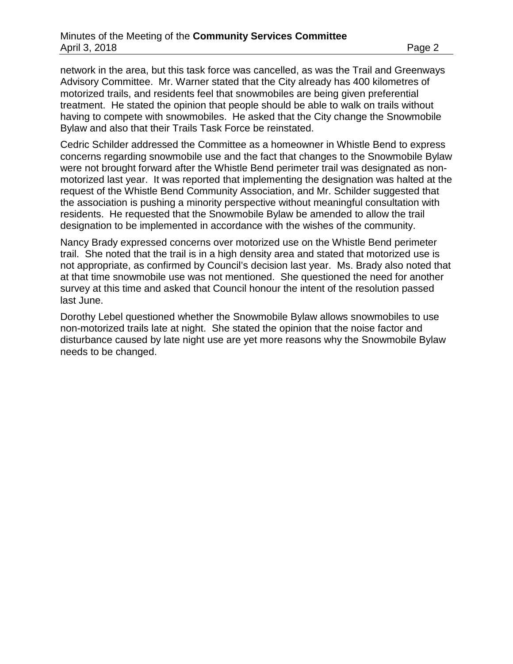network in the area, but this task force was cancelled, as was the Trail and Greenways Advisory Committee. Mr. Warner stated that the City already has 400 kilometres of motorized trails, and residents feel that snowmobiles are being given preferential treatment. He stated the opinion that people should be able to walk on trails without having to compete with snowmobiles. He asked that the City change the Snowmobile Bylaw and also that their Trails Task Force be reinstated.

Cedric Schilder addressed the Committee as a homeowner in Whistle Bend to express concerns regarding snowmobile use and the fact that changes to the Snowmobile Bylaw were not brought forward after the Whistle Bend perimeter trail was designated as nonmotorized last year. It was reported that implementing the designation was halted at the request of the Whistle Bend Community Association, and Mr. Schilder suggested that the association is pushing a minority perspective without meaningful consultation with residents. He requested that the Snowmobile Bylaw be amended to allow the trail designation to be implemented in accordance with the wishes of the community.

Nancy Brady expressed concerns over motorized use on the Whistle Bend perimeter trail. She noted that the trail is in a high density area and stated that motorized use is not appropriate, as confirmed by Council's decision last year. Ms. Brady also noted that at that time snowmobile use was not mentioned. She questioned the need for another survey at this time and asked that Council honour the intent of the resolution passed last June.

Dorothy Lebel questioned whether the Snowmobile Bylaw allows snowmobiles to use non-motorized trails late at night. She stated the opinion that the noise factor and disturbance caused by late night use are yet more reasons why the Snowmobile Bylaw needs to be changed.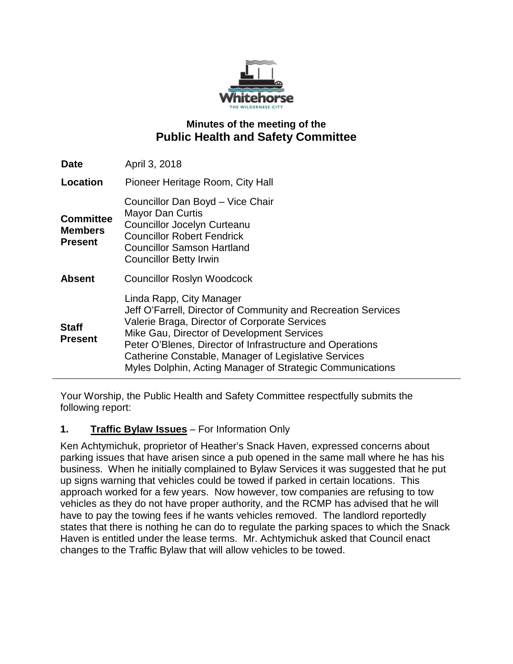

## **Minutes of the meeting of the Public Health and Safety Committee**

| <b>Date</b>                                          | April 3, 2018                                                                                                                                                                                                                                                                                                                                                              |
|------------------------------------------------------|----------------------------------------------------------------------------------------------------------------------------------------------------------------------------------------------------------------------------------------------------------------------------------------------------------------------------------------------------------------------------|
| Location                                             | Pioneer Heritage Room, City Hall                                                                                                                                                                                                                                                                                                                                           |
| <b>Committee</b><br><b>Members</b><br><b>Present</b> | Councillor Dan Boyd - Vice Chair<br><b>Mayor Dan Curtis</b><br>Councillor Jocelyn Curteanu<br><b>Councillor Robert Fendrick</b><br><b>Councillor Samson Hartland</b><br><b>Councillor Betty Irwin</b>                                                                                                                                                                      |
| <b>Absent</b>                                        | <b>Councillor Roslyn Woodcock</b>                                                                                                                                                                                                                                                                                                                                          |
| <b>Staff</b><br><b>Present</b>                       | Linda Rapp, City Manager<br>Jeff O'Farrell, Director of Community and Recreation Services<br>Valerie Braga, Director of Corporate Services<br>Mike Gau, Director of Development Services<br>Peter O'Blenes, Director of Infrastructure and Operations<br>Catherine Constable, Manager of Legislative Services<br>Myles Dolphin, Acting Manager of Strategic Communications |

Your Worship, the Public Health and Safety Committee respectfully submits the following report:

## **1. Traffic Bylaw Issues** – For Information Only

Ken Achtymichuk, proprietor of Heather's Snack Haven, expressed concerns about parking issues that have arisen since a pub opened in the same mall where he has his business. When he initially complained to Bylaw Services it was suggested that he put up signs warning that vehicles could be towed if parked in certain locations. This approach worked for a few years. Now however, tow companies are refusing to tow vehicles as they do not have proper authority, and the RCMP has advised that he will have to pay the towing fees if he wants vehicles removed. The landlord reportedly states that there is nothing he can do to regulate the parking spaces to which the Snack Haven is entitled under the lease terms. Mr. Achtymichuk asked that Council enact changes to the Traffic Bylaw that will allow vehicles to be towed.